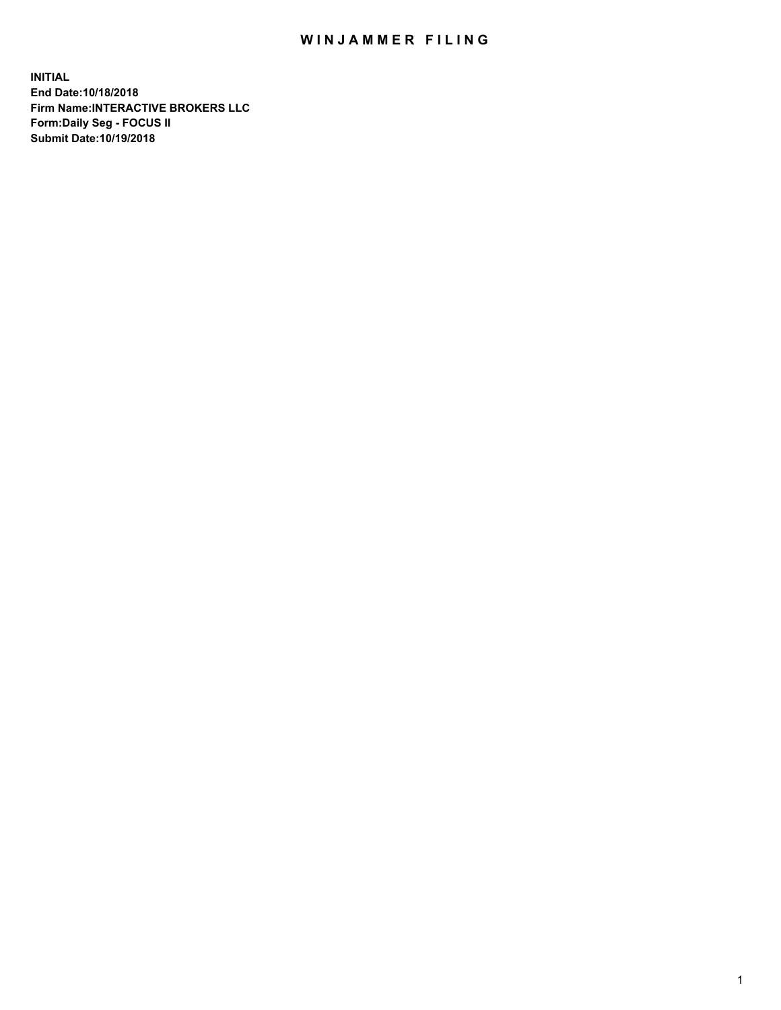## WIN JAMMER FILING

**INITIAL End Date:10/18/2018 Firm Name:INTERACTIVE BROKERS LLC Form:Daily Seg - FOCUS II Submit Date:10/19/2018**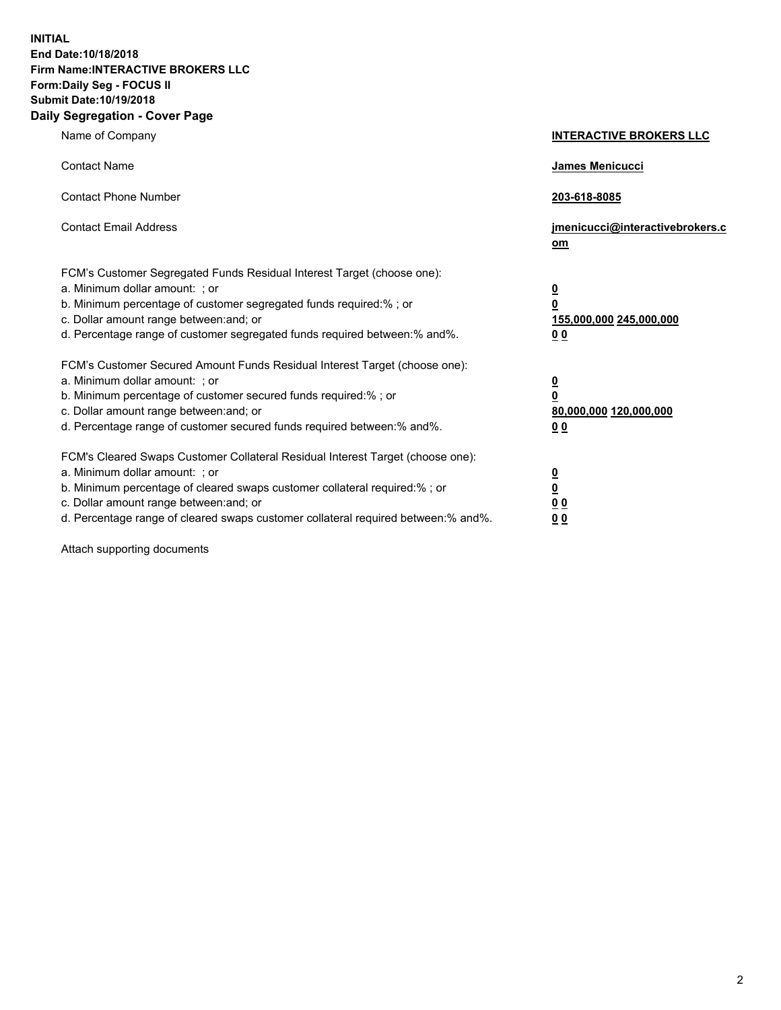**INITIAL End Date:10/18/2018 Firm Name:INTERACTIVE BROKERS LLC Form:Daily Seg - FOCUS II Submit Date:10/19/2018 Daily Segregation - Cover Page**

| Name of Company                                                                                                                                                                                                                                                                                                                | <b>INTERACTIVE BROKERS LLC</b>                                                                  |
|--------------------------------------------------------------------------------------------------------------------------------------------------------------------------------------------------------------------------------------------------------------------------------------------------------------------------------|-------------------------------------------------------------------------------------------------|
| <b>Contact Name</b>                                                                                                                                                                                                                                                                                                            | James Menicucci                                                                                 |
| <b>Contact Phone Number</b>                                                                                                                                                                                                                                                                                                    | 203-618-8085                                                                                    |
| <b>Contact Email Address</b>                                                                                                                                                                                                                                                                                                   | jmenicucci@interactivebrokers.c<br>om                                                           |
| FCM's Customer Segregated Funds Residual Interest Target (choose one):<br>a. Minimum dollar amount: ; or<br>b. Minimum percentage of customer segregated funds required:% ; or<br>c. Dollar amount range between: and; or<br>d. Percentage range of customer segregated funds required between:% and%.                         | $\overline{\mathbf{0}}$<br>$\overline{\mathbf{0}}$<br>155,000,000 245,000,000<br>0 <sub>0</sub> |
| FCM's Customer Secured Amount Funds Residual Interest Target (choose one):<br>a. Minimum dollar amount: ; or<br>b. Minimum percentage of customer secured funds required:%; or<br>c. Dollar amount range between: and; or<br>d. Percentage range of customer secured funds required between:% and%.                            | $\overline{\mathbf{0}}$<br>$\overline{\mathbf{0}}$<br>80,000,000 120,000,000<br>0 <sub>0</sub>  |
| FCM's Cleared Swaps Customer Collateral Residual Interest Target (choose one):<br>a. Minimum dollar amount: ; or<br>b. Minimum percentage of cleared swaps customer collateral required:% ; or<br>c. Dollar amount range between: and; or<br>d. Percentage range of cleared swaps customer collateral required between:% and%. | $\overline{\mathbf{0}}$<br>$\underline{\mathbf{0}}$<br>0 <sub>0</sub><br>0 <sub>0</sub>         |

Attach supporting documents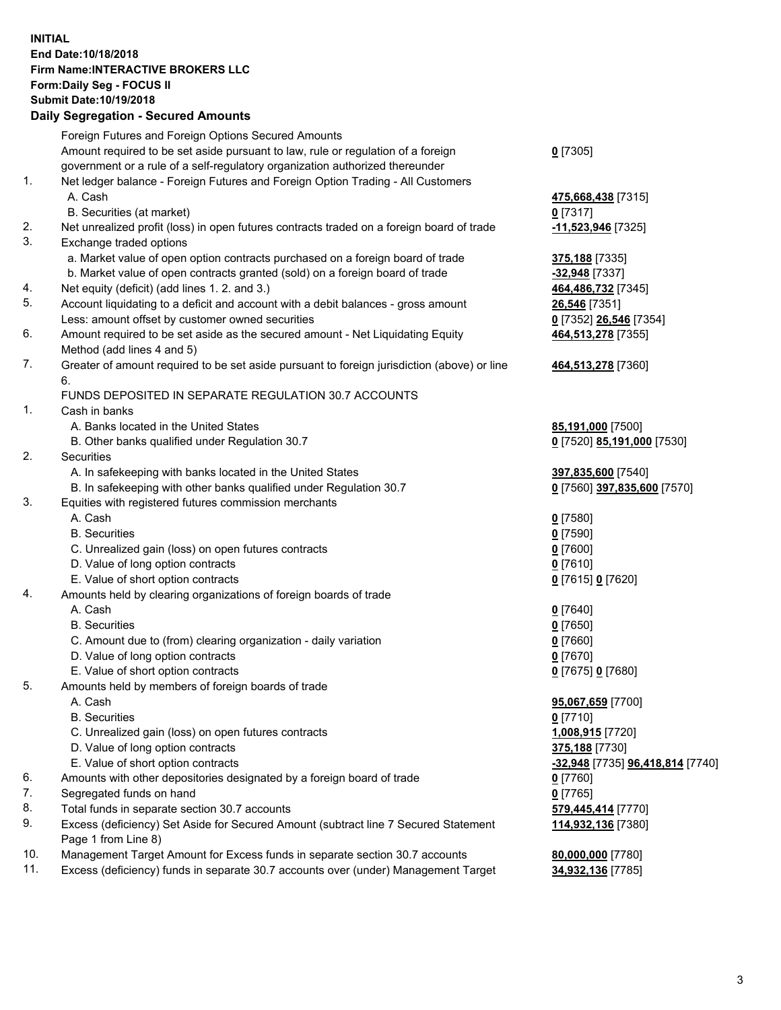## **INITIAL End Date:10/18/2018 Firm Name:INTERACTIVE BROKERS LLC Form:Daily Seg - FOCUS II Submit Date:10/19/2018 Daily Segregation - Secured Amounts**

|     | Daily Segregation - Secured Amounts                                                         |                                  |
|-----|---------------------------------------------------------------------------------------------|----------------------------------|
|     | Foreign Futures and Foreign Options Secured Amounts                                         |                                  |
|     | Amount required to be set aside pursuant to law, rule or regulation of a foreign            | $0$ [7305]                       |
|     | government or a rule of a self-regulatory organization authorized thereunder                |                                  |
| 1.  | Net ledger balance - Foreign Futures and Foreign Option Trading - All Customers             |                                  |
|     | A. Cash                                                                                     | 475,668,438 [7315]               |
|     | B. Securities (at market)                                                                   | $0$ [7317]                       |
| 2.  | Net unrealized profit (loss) in open futures contracts traded on a foreign board of trade   | -11,523,946 [7325]               |
| 3.  | Exchange traded options                                                                     |                                  |
|     | a. Market value of open option contracts purchased on a foreign board of trade              | 375,188 [7335]                   |
|     | b. Market value of open contracts granted (sold) on a foreign board of trade                | $-32,948$ [7337]                 |
| 4.  | Net equity (deficit) (add lines 1.2. and 3.)                                                | 464,486,732 [7345]               |
| 5.  | Account liquidating to a deficit and account with a debit balances - gross amount           | 26,546 [7351]                    |
|     | Less: amount offset by customer owned securities                                            | 0 [7352] 26,546 [7354]           |
| 6.  | Amount required to be set aside as the secured amount - Net Liquidating Equity              | 464,513,278 [7355]               |
|     | Method (add lines 4 and 5)                                                                  |                                  |
| 7.  | Greater of amount required to be set aside pursuant to foreign jurisdiction (above) or line | 464,513,278 [7360]               |
|     | 6.                                                                                          |                                  |
|     | FUNDS DEPOSITED IN SEPARATE REGULATION 30.7 ACCOUNTS                                        |                                  |
| 1.  | Cash in banks                                                                               |                                  |
|     | A. Banks located in the United States                                                       | 85,191,000 [7500]                |
|     | B. Other banks qualified under Regulation 30.7                                              | 0 [7520] 85,191,000 [7530]       |
| 2.  | Securities                                                                                  |                                  |
|     | A. In safekeeping with banks located in the United States                                   | 397,835,600 [7540]               |
|     | B. In safekeeping with other banks qualified under Regulation 30.7                          | 0 [7560] 397,835,600 [7570]      |
| 3.  | Equities with registered futures commission merchants                                       |                                  |
|     | A. Cash                                                                                     | $0$ [7580]                       |
|     | <b>B.</b> Securities                                                                        | $0$ [7590]                       |
|     | C. Unrealized gain (loss) on open futures contracts                                         | $0$ [7600]                       |
|     | D. Value of long option contracts                                                           | $0$ [7610]                       |
|     | E. Value of short option contracts                                                          | 0 [7615] 0 [7620]                |
| 4.  | Amounts held by clearing organizations of foreign boards of trade                           |                                  |
|     | A. Cash                                                                                     | $0$ [7640]                       |
|     | <b>B.</b> Securities                                                                        | $0$ [7650]                       |
|     | C. Amount due to (from) clearing organization - daily variation                             | $0$ [7660]                       |
|     | D. Value of long option contracts                                                           | $0$ [7670]                       |
|     | E. Value of short option contracts                                                          | 0 [7675] 0 [7680]                |
| 5.  | Amounts held by members of foreign boards of trade                                          |                                  |
|     | A. Cash                                                                                     | 95,067,659 [7700]                |
|     | <b>B.</b> Securities                                                                        | $0$ [7710]                       |
|     | C. Unrealized gain (loss) on open futures contracts                                         | 1,008,915 [7720]                 |
|     | D. Value of long option contracts                                                           | 375,188 [7730]                   |
|     | E. Value of short option contracts                                                          | -32,948 [7735] 96,418,814 [7740] |
| 6.  | Amounts with other depositories designated by a foreign board of trade                      | 0 [7760]                         |
| 7.  | Segregated funds on hand                                                                    | $0$ [7765]                       |
| 8.  | Total funds in separate section 30.7 accounts                                               | 579,445,414 [7770]               |
| 9.  | Excess (deficiency) Set Aside for Secured Amount (subtract line 7 Secured Statement         | 114,932,136 [7380]               |
|     | Page 1 from Line 8)                                                                         |                                  |
| 10. | Management Target Amount for Excess funds in separate section 30.7 accounts                 | 80,000,000 [7780]                |
| 11. | Excess (deficiency) funds in separate 30.7 accounts over (under) Management Target          | 34,932,136 [7785]                |
|     |                                                                                             |                                  |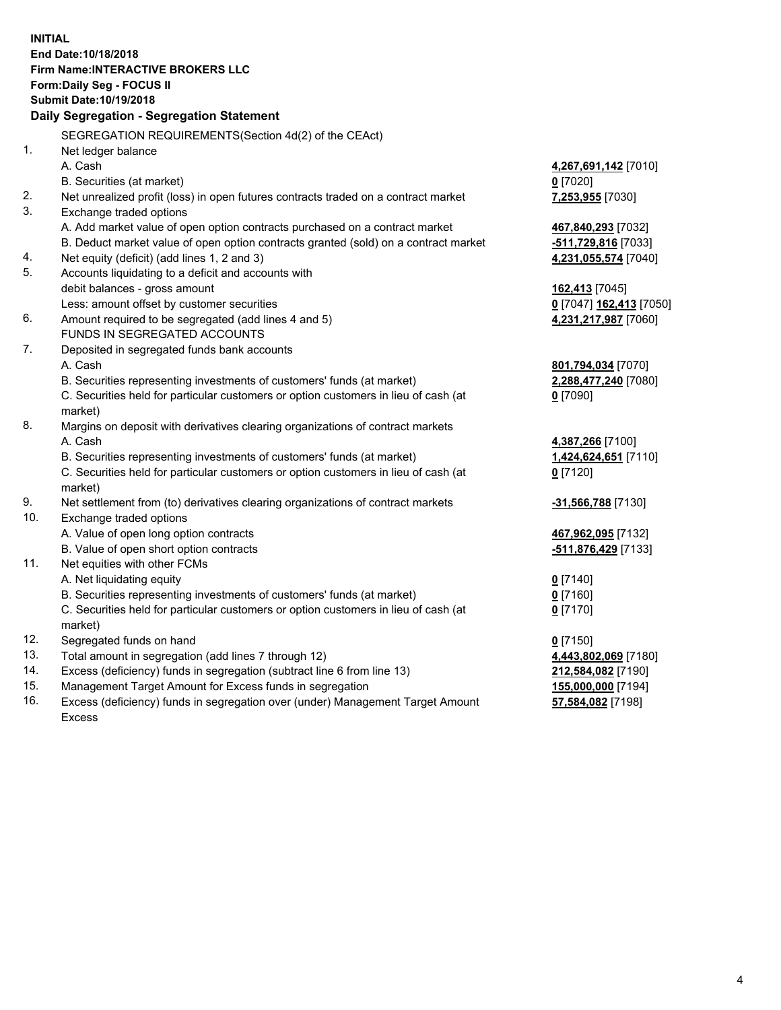**INITIAL End Date:10/18/2018 Firm Name:INTERACTIVE BROKERS LLC Form:Daily Seg - FOCUS II Submit Date:10/19/2018 Daily Segregation - Segregation Statement** SEGREGATION REQUIREMENTS(Section 4d(2) of the CEAct) 1. Net ledger balance A. Cash **4,267,691,142** [7010] B. Securities (at market) **0** [7020] 2. Net unrealized profit (loss) in open futures contracts traded on a contract market **7,253,955** [7030] 3. Exchange traded options A. Add market value of open option contracts purchased on a contract market **467,840,293** [7032] B. Deduct market value of open option contracts granted (sold) on a contract market **-511,729,816** [7033] 4. Net equity (deficit) (add lines 1, 2 and 3) **4,231,055,574** [7040] 5. Accounts liquidating to a deficit and accounts with debit balances - gross amount **162,413** [7045] Less: amount offset by customer securities **0** [7047] **162,413** [7050] 6. Amount required to be segregated (add lines 4 and 5) **4,231,217,987** [7060] FUNDS IN SEGREGATED ACCOUNTS 7. Deposited in segregated funds bank accounts A. Cash **801,794,034** [7070] B. Securities representing investments of customers' funds (at market) **2,288,477,240** [7080] C. Securities held for particular customers or option customers in lieu of cash (at market) **0** [7090] 8. Margins on deposit with derivatives clearing organizations of contract markets A. Cash **4,387,266** [7100] B. Securities representing investments of customers' funds (at market) **1,424,624,651** [7110] C. Securities held for particular customers or option customers in lieu of cash (at market) **0** [7120] 9. Net settlement from (to) derivatives clearing organizations of contract markets **-31,566,788** [7130] 10. Exchange traded options A. Value of open long option contracts **467,962,095** [7132] B. Value of open short option contracts **-511,876,429** [7133] 11. Net equities with other FCMs A. Net liquidating equity **0** [7140] B. Securities representing investments of customers' funds (at market) **0** [7160] C. Securities held for particular customers or option customers in lieu of cash (at market) **0** [7170] 12. Segregated funds on hand **0** [7150] 13. Total amount in segregation (add lines 7 through 12) **4,443,802,069** [7180] 14. Excess (deficiency) funds in segregation (subtract line 6 from line 13) **212,584,082** [7190] 15. Management Target Amount for Excess funds in segregation **155,000,000** [7194] **57,584,082** [7198]

16. Excess (deficiency) funds in segregation over (under) Management Target Amount Excess